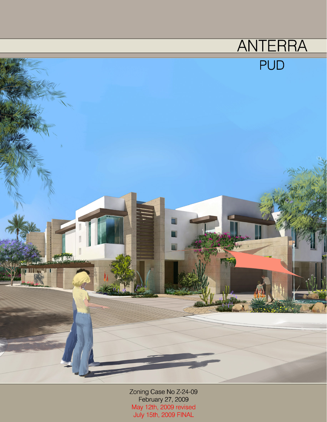

Zoning Case No Z-24-09<br>February 27, 2009 %Website<br>May 12th, 2009 revised July 15th, 2009 FINAL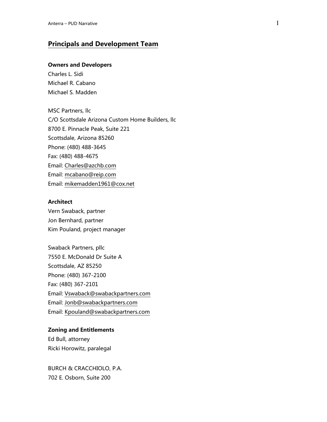# **Principals and Development Team**

### **Owners and Developers**

Charles L. Sidi Michael R. Cabano Michael S. Madden

MSC Partners, llc C/O Scottsdale Arizona Custom Home Builders, llc 8700 E. Pinnacle Peak, Suite 221 Scottsdale, Arizona 85260 Phone: (480) 488-3645 Fax: (480) 488-4675 Email: [Charles@azchb.com](mailto:Charles@azchb.com) Email: [mcabano@reip.com](mailto:mcabano@reip.com) Email: [mikemadden1961@cox.net](mailto:mikemadden1961@cox.net)

#### **Architect**

Vern Swaback, partner Jon Bernhard, partner Kim Pouland, project manager

Swaback Partners, pllc 7550 E. McDonald Dr Suite A Scottsdale, AZ 85250 Phone: (480) 367-2100 Fax: (480) 367-2101 Email: [Vswaback@swabackpartners.com](mailto:Vswaback@swabackpartners.com) Email: [Jonb@swabackpartners.com](mailto:Jonb@swabackpartners.com) Email: [Kpouland@swabackpartners.com](mailto:Kpouland@swabackpartners.com)

#### **Zoning and Entitlements**

Ed Bull, attorney Ricki Horowitz, paralegal

BURCH & CRACCHIOLO, P.A. 702 E. Osborn, Suite 200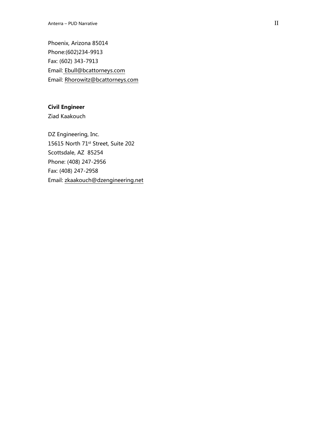Phoenix, Arizona 85014 Phone:(602)234 -9913 Fax: (602) 343 -7913 Email: [Ebull@bcattorneys.com](mailto:Ebull@bcattorneys.com) Email: [Rhorowitz@bcattorneys.com](mailto:Rhorowitz@bcattorneys.com)

## **Civil Engineer**

Ziad Kaakouch

DZ Engineering, Inc. 15615 North 71st Street, Suite 202 Scottsdale, AZ 85254 Phone: (408) 247 -2956 Fax: (408) 247 -2958 Email: [zkaakouch@dzengineering.net](mailto:zkaakouch@dzengineering.net)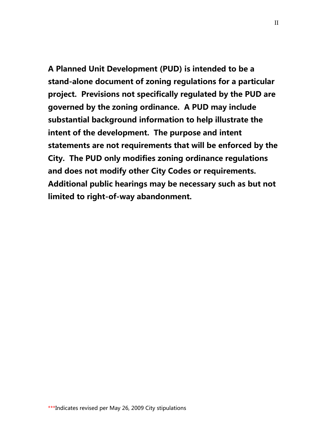**A Planned Unit Development (PUD) is intended to be a stand-alone document of zoning regulations for a particular project. Previsions not specifically regulated by the PUD are governed by the zoning ordinance. A PUD may include substantial background information to help illustrate the intent of the development. The purpose and intent statements are not requirements that will be enforced by the City. The PUD only modifies zoning ordinance regulations and does not modify other City Codes or requirements. Additional public hearings may be necessary such as but not limited to right-of-way abandonment.**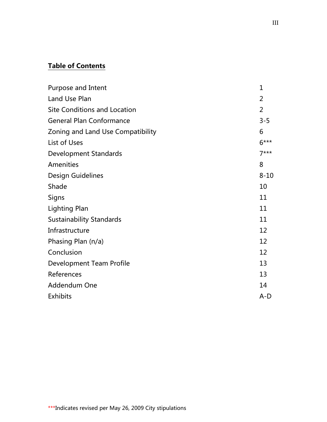# **Table of Contents**

| Purpose and Intent                  | $\mathbf{1}$   |
|-------------------------------------|----------------|
| Land Use Plan                       | 2              |
| <b>Site Conditions and Location</b> | $\overline{2}$ |
| <b>General Plan Conformance</b>     | $3 - 5$        |
| Zoning and Land Use Compatibility   | 6              |
| List of Uses                        | $6***$         |
| <b>Development Standards</b>        | $7***$         |
| Amenities                           | 8              |
| <b>Design Guidelines</b>            | $8 - 10$       |
| Shade                               | 10             |
| Signs                               | 11             |
| <b>Lighting Plan</b>                | 11             |
| <b>Sustainability Standards</b>     | 11             |
| Infrastructure                      | 12             |
| Phasing Plan (n/a)                  | 12             |
| Conclusion                          | 12             |
| Development Team Profile            | 13             |
| References                          | 13             |
| Addendum One                        | 14             |
| <b>Exhibits</b>                     | $A-D$          |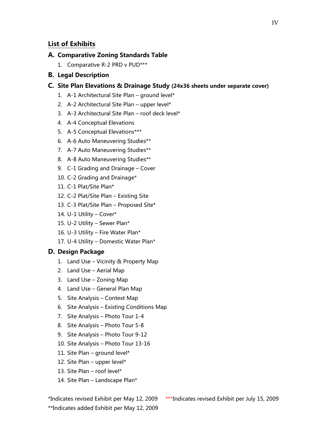# **List of Exhibits**

### **A. Comparative Zoning Standards Table**

1. Comparative R-2 PRD v PUD\*\*\*

### **B. Legal Description**

### **C. Site Plan Elevations & Drainage Study (24x36 sheets under separate cover)**

- 1. A-1 Architectural Site Plan ground level\*
- 2. A-2 Architectural Site Plan upper level\*
- 3. A-3 Architectural Site Plan roof deck level\*
- 4. A-4 Conceptual Elevations
- 5. A-5 Conceptual Elevations\*\*\*
- 6. A-6 Auto Maneuvering Studies\*\*
- 7. A-7 Auto Maneuvering Studies\*\*
- 8. A-8 Auto Maneuvering Studies\*\*
- 9. C-1 Grading and Drainage Cover
- 10. C-2 Grading and Drainage\*
- 11. C-1 Plat/Site Plan\*
- 12. C-2 Plat/Site Plan Existing Site
- 13. C-3 Plat/Site Plan Proposed Site\*
- 14. U-1 Utility Cover\*
- 15. U-2 Utility Sewer Plan\*
- 16. U-3 Utility Fire Water Plan\*
- 17. U-4 Utility Domestic Water Plan\*

# **D. Design Package**

- 1. Land Use Vicinity & Property Map
- 2. Land Use Aerial Map
- 3. Land Use Zoning Map
- 4. Land Use General Plan Map
- 5. Site Analysis Context Map
- 6. Site Analysis Existing Conditions Map
- 7. Site Analysis Photo Tour 1-4
- 8. Site Analysis Photo Tour 5-8
- 9. Site Analysis Photo Tour 9-12
- 10. Site Analysis Photo Tour 13-16
- 11. Site Plan ground level\*
- 12. Site Plan upper level\*
- 13. Site Plan roof level\*
- 14. Site Plan Landscape Plan\*

\*\*Indicates added Exhibit per May 12, 2009

\*Indicates revised Exhibit per May 12, 2009 \*\*\*Indicates revised Exhibit per July 15, 2009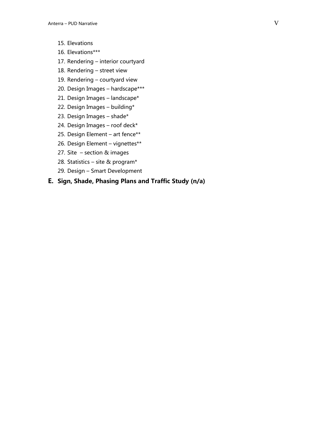- 15. Elevations
- 16. Elevations\*\*\*
- 17. Rendering interior courtyard
- 18. Rendering street view
- 19. Rendering courtyard view
- 20. Design Images hardscape\*\*\*
- 21. Design Images landscape\*
- 22. Design Images building\*
- 23. Design Images shade\*
- 24. Design Images roof deck\*
- 25. Design Element art fence\*\*
- 26. Design Element vignettes\*\*
- 27. Site section & images
- 28. Statistics site & program\*
- 29. Design Smart Development

# **E. Sign, Shade, Phasing Plans and Traffic Study (n/a)**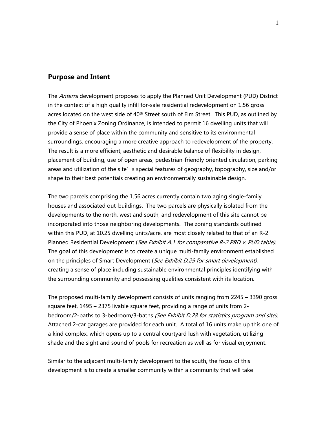### **Purpose and Intent**

The *Anterra* development proposes to apply the Planned Unit Development (PUD) District in the context of a high quality infill for-sale residential redevelopment on 1.56 gross acres located on the west side of 40<sup>th</sup> Street south of Elm Street. This PUD, as outlined by the City of Phoenix Zoning Ordinance, is intended to permit 16 dwelling units that will provide a sense of place within the community and sensitive to its environmental surroundings, encouraging a more creative approach to redevelopment of the property. The result is a more efficient, aesthetic and desirable balance of flexibility in design, placement of building, use of open areas, pedestrian-friendly oriented circulation, parking areas and utilization of the site's special features of geography, topography, size and/or shape to their best potentials creating an environmentally sustainable design.

The two parcels comprising the 1.56 acres currently contain two aging single-family houses and associated out-buildings. The two parcels are physically isolated from the developments to the north, west and south, and redevelopment of this site cannot be incorporated into those neighboring developments. The zoning standards outlined within this PUD, at 10.25 dwelling units/acre, are most closely related to that of an R-2 Planned Residential Development (See Exhibit A.1 for comparative R-2 PRD v. PUD table). The goal of this development is to create a unique multi-family environment established on the principles of Smart Development (See Exhibit D.29 for smart development), creating a sense of place including sustainable environmental principles identifying with the surrounding community and possessing qualities consistent with its location.

The proposed multi-family development consists of units ranging from 2245 – 3390 gross square feet, 1495 – 2375 livable square feet, providing a range of units from 2 bedroom/2-baths to 3-bedroom/3-baths (See Exhibit D.28 for statistics program and site). Attached 2-car garages are provided for each unit. A total of 16 units make up this one of a kind complex, which opens up to a central courtyard lush with vegetation, utilizing shade and the sight and sound of pools for recreation as well as for visual enjoyment.

Similar to the adjacent multi-family development to the south, the focus of this development is to create a smaller community within a community that will take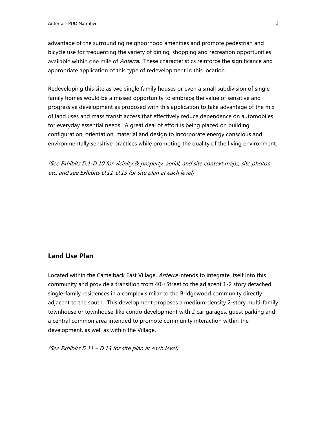advantage of the surrounding neighborhood amenities and promote pedestrian and bicycle use for frequenting the variety of dining, shopping and recreation opportunities available within one mile of *Anterra*. These characteristics reinforce the significance and appropriate application of this type of redevelopment in this location.

Redeveloping this site as two single family houses or even a small subdivision of single family homes would be a missed opportunity to embrace the value of sensitive and progressive development as proposed with this application to take advantage of the mix of land uses and mass transit access that effectively reduce dependence on automobiles for everyday essential needs. A great deal of effort is being placed on building configuration, orientation, material and design to incorporate energy conscious and environmentally sensitive practices while promoting the quality of the living environment.

(See Exhibits D.1-D.10 for vicinity & property, aerial, and site context maps, site photos, etc. and see Exhibits D.11-D.13 for site plan at each level)

### **Land Use Plan**

Located within the Camelback East Village, Anterra intends to integrate itself into this community and provide a transition from  $40<sup>th</sup>$  Street to the adjacent 1-2 story detached single-family residences in a complex similar to the Bridgewood community directly adjacent to the south. This development proposes a medium-density 2-story multi-family townhouse or townhouse-like condo development with 2 car garages, guest parking and a central common area intended to promote community interaction within the development, as well as within the Village.

(See Exhibits D.11 – D.13 for site plan at each level)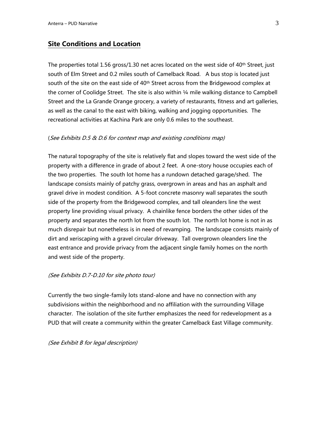# **Site Conditions and Location**

The properties total 1.56 gross/1.30 net acres located on the west side of  $40<sup>th</sup>$  Street, just south of Elm Street and 0.2 miles south of Camelback Road. A bus stop is located just south of the site on the east side of 40<sup>th</sup> Street across from the Bridgewood complex at the corner of Coolidge Street. The site is also within 1/4 mile walking distance to Campbell Street and the La Grande Orange grocery, a variety of restaurants, fitness and art galleries, as well as the canal to the east with biking, walking and jogging opportunities. The recreational activities at Kachina Park are only 0.6 miles to the southeast.

#### (See Exhibits D.5 & D.6 for context map and existing conditions map)

The natural topography of the site is relatively flat and slopes toward the west side of the property with a difference in grade of about 2 feet. A one-story house occupies each of the two properties. The south lot home has a rundown detached garage/shed. The landscape consists mainly of patchy grass, overgrown in areas and has an asphalt and gravel drive in modest condition. A 5-foot concrete masonry wall separates the south side of the property from the Bridgewood complex, and tall oleanders line the west property line providing visual privacy. A chainlike fence borders the other sides of the property and separates the north lot from the south lot. The north lot home is not in as much disrepair but nonetheless is in need of revamping. The landscape consists mainly of dirt and xeriscaping with a gravel circular driveway. Tall overgrown oleanders line the east entrance and provide privacy from the adjacent single family homes on the north and west side of the property.

#### (See Exhibits D.7-D.10 for site photo tour)

Currently the two single-family lots stand-alone and have no connection with any subdivisions within the neighborhood and no affiliation with the surrounding Village character. The isolation of the site further emphasizes the need for redevelopment as a PUD that will create a community within the greater Camelback East Village community.

(See Exhibit B for legal description)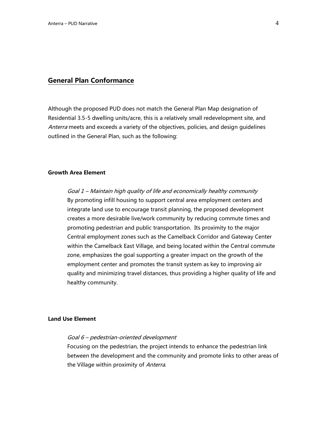### **General Plan Conformance**

Although the proposed PUD does not match the General Plan Map designation of Residential 3.5-5 dwelling units/acre, this is a relatively small redevelopment site, and Anterra meets and exceeds a variety of the objectives, policies, and design guidelines outlined in the General Plan, such as the following:

#### **Growth Area Element**

Goal 1 – Maintain high quality of life and economically healthy community By promoting infill housing to support central area employment centers and integrate land use to encourage transit planning, the proposed development creates a more desirable live/work community by reducing commute times and promoting pedestrian and public transportation. Its proximity to the major Central employment zones such as the Camelback Corridor and Gateway Center within the Camelback East Village, and being located within the Central commute zone, emphasizes the goal supporting a greater impact on the growth of the employment center and promotes the transit system as key to improving air quality and minimizing travel distances, thus providing a higher quality of life and healthy community.

#### **Land Use Element**

#### Goal 6 – pedestrian-oriented development

Focusing on the pedestrian, the project intends to enhance the pedestrian link between the development and the community and promote links to other areas of the Village within proximity of Anterra.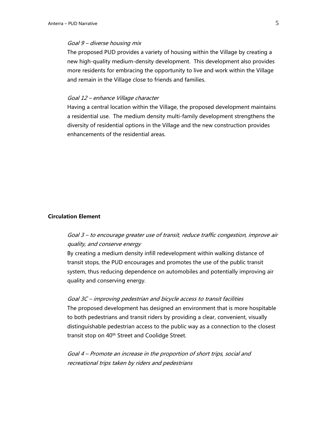#### Goal 9 – diverse housing mix

The proposed PUD provides a variety of housing within the Village by creating a new high-quality medium-density development. This development also provides more residents for embracing the opportunity to live and work within the Village and remain in the Village close to friends and families.

#### Goal 12 – enhance Village character

Having a central location within the Village, the proposed development maintains a residential use. The medium density multi-family development strengthens the diversity of residential options in the Village and the new construction provides enhancements of the residential areas.

#### **Circulation Element**

# Goal 3 – to encourage greater use of transit, reduce traffic congestion, improve air quality, and conserve energy

By creating a medium density infill redevelopment within walking distance of transit stops, the PUD encourages and promotes the use of the public transit system, thus reducing dependence on automobiles and potentially improving air quality and conserving energy.

#### Goal 3C – improving pedestrian and bicycle access to transit facilities

The proposed development has designed an environment that is more hospitable to both pedestrians and transit riders by providing a clear, convenient, visually distinguishable pedestrian access to the public way as a connection to the closest transit stop on 40<sup>th</sup> Street and Coolidge Street.

Goal 4 – Promote an increase in the proportion of short trips, social and recreational trips taken by riders and pedestrians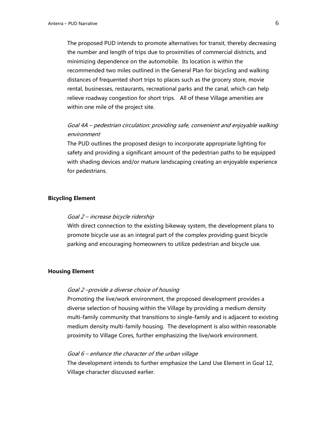The proposed PUD intends to promote alternatives for transit, thereby decreasing the number and length of trips due to proximities of commercial districts, and minimizing dependence on the automobile. Its location is within the recommended two miles outlined in the General Plan for bicycling and walking distances of frequented short trips to places such as the grocery store, movie rental, businesses, restaurants, recreational parks and the canal, which can help relieve roadway congestion for short trips. All of these Village amenities are within one mile of the project site.

# Goal 4A – pedestrian circulation: providing safe, convenient and enjoyable walking environment

The PUD outlines the proposed design to incorporate appropriate lighting for safety and providing a significant amount of the pedestrian paths to be equipped with shading devices and/or mature landscaping creating an enjoyable experience for pedestrians.

#### **Bicycling Element**

#### Goal 2 – increase bicycle ridership

With direct connection to the existing bikeway system, the development plans to promote bicycle use as an integral part of the complex providing guest bicycle parking and encouraging homeowners to utilize pedestrian and bicycle use.

#### **Housing Element**

#### Goal 2 –provide a diverse choice of housing

Promoting the live/work environment, the proposed development provides a diverse selection of housing within the Village by providing a medium density multi-family community that transitions to single-family and is adjacent to existing medium density multi-family housing. The development is also within reasonable proximity to Village Cores, further emphasizing the live/work environment.

#### Goal 6 – enhance the character of the urban village

The development intends to further emphasize the Land Use Element in Goal 12, Village character discussed earlier.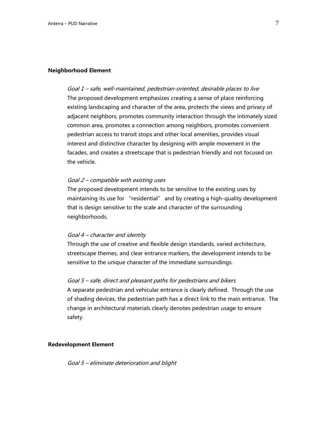#### **Neighborhood Element**

Goal 1 – safe, well-maintained, pedestrian-oriented, desirable places to live The proposed development emphasizes creating a sense of place reinforcing existing landscaping and character of the area, protects the views and privacy of adjacent neighbors, promotes community interaction through the intimately sized common area, promotes a connection among neighbors, promotes convenient pedestrian access to transit stops and other local amenities, provides visual interest and distinctive character by designing with ample movement in the facades, and creates a streetscape that is pedestrian friendly and not focused on the vehicle.

#### Goal 2 – compatible with existing uses

The proposed development intends to be sensitive to the existing uses by maintaining its use for "residential" and by creating a high-quality development that is design sensitive to the scale and character of the surrounding neighborhoods.

#### Goal 4 – character and identity

Through the use of creative and flexible design standards, varied architecture, streetscape themes, and clear entrance markers, the development intends to be sensitive to the unique character of the immediate surroundings.

#### Goal 5 – safe, direct and pleasant paths for pedestrians and bikers

A separate pedestrian and vehicular entrance is clearly defined. Through the use of shading devices, the pedestrian path has a direct link to the main entrance. The change in architectural materials clearly denotes pedestrian usage to ensure safety.

#### **Redevelopment Element**

Goal 5 – eliminate deterioration and blight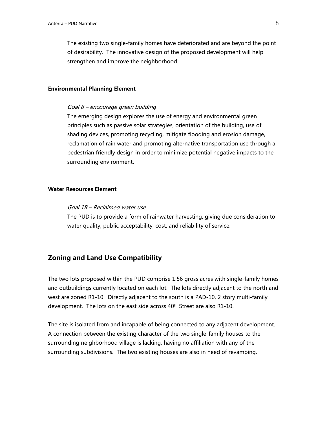The existing two single-family homes have deteriorated and are beyond the point of desirability. The innovative design of the proposed development will help strengthen and improve the neighborhood.

#### **Environmental Planning Element**

#### Goal 6 – encourage green building

The emerging design explores the use of energy and environmental green principles such as passive solar strategies, orientation of the building, use of shading devices, promoting recycling, mitigate flooding and erosion damage, reclamation of rain water and promoting alternative transportation use through a pedestrian friendly design in order to minimize potential negative impacts to the surrounding environment.

#### **Water Resources Element**

#### Goal 1B – Reclaimed water use

The PUD is to provide a form of rainwater harvesting, giving due consideration to water quality, public acceptability, cost, and reliability of service.

# **Zoning and Land Use Compatibility**

The two lots proposed within the PUD comprise 1.56 gross acres with single-family homes and outbuildings currently located on each lot. The lots directly adjacent to the north and west are zoned R1-10. Directly adjacent to the south is a PAD-10, 2 story multi-family development. The lots on the east side across 40<sup>th</sup> Street are also R1-10.

The site is isolated from and incapable of being connected to any adjacent development. A connection between the existing character of the two single-family houses to the surrounding neighborhood village is lacking, having no affiliation with any of the surrounding subdivisions. The two existing houses are also in need of revamping.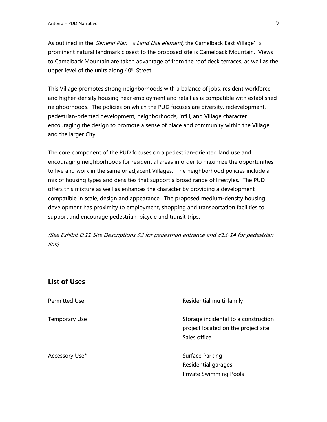As outlined in the *General Plan's Land Use element*, the Camelback East Village's prominent natural landmark closest to the proposed site is Camelback Mountain. Views to Camelback Mountain are taken advantage of from the roof deck terraces, as well as the upper level of the units along 40<sup>th</sup> Street.

This Village promotes strong neighborhoods with a balance of jobs, resident workforce and higher-density housing near employment and retail as is compatible with established neighborhoods. The policies on which the PUD focuses are diversity, redevelopment, pedestrian-oriented development, neighborhoods, infill, and Village character encouraging the design to promote a sense of place and community within the Village and the larger City.

The core component of the PUD focuses on a pedestrian-oriented land use and encouraging neighborhoods for residential areas in order to maximize the opportunities to live and work in the same or adjacent Villages. The neighborhood policies include a mix of housing types and densities that support a broad range of lifestyles. The PUD offers this mixture as well as enhances the character by providing a development compatible in scale, design and appearance. The proposed medium-density housing development has proximity to employment, shopping and transportation facilities to support and encourage pedestrian, bicycle and transit trips.

(See Exhibit D.11 Site Descriptions #2 for pedestrian entrance and #13-14 for pedestrian link)

# **List of Uses**

| <b>Permitted Use</b> | Residential multi-family                                                                    |
|----------------------|---------------------------------------------------------------------------------------------|
| <b>Temporary Use</b> | Storage incidental to a construction<br>project located on the project site<br>Sales office |
| Accessory Use*       | Surface Parking<br>Residential garages<br><b>Private Swimming Pools</b>                     |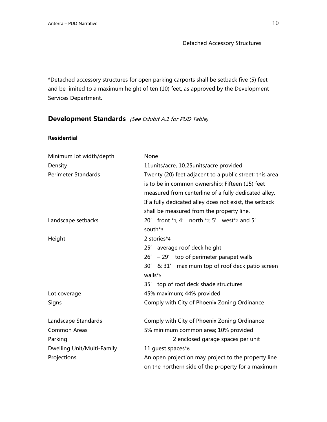Detached Accessory Structures

\*Detached accessory structures for open parking carports shall be setback five (5) feet and be limited to a maximum height of ten (10) feet, as approved by the Development Services Department.

# **Development Standards** (See Exhibit A.1 for PUD Table)

### **Residential**

| Minimum lot width/depth    | None                                                                                                    |  |  |
|----------------------------|---------------------------------------------------------------------------------------------------------|--|--|
| Density                    | 11units/acre, 10.25units/acre provided                                                                  |  |  |
| <b>Perimeter Standards</b> | Twenty (20) feet adjacent to a public street; this area                                                 |  |  |
|                            | is to be in common ownership; Fifteen (15) feet<br>measured from centerline of a fully dedicated alley. |  |  |
|                            |                                                                                                         |  |  |
|                            | If a fully dedicated alley does not exist, the setback                                                  |  |  |
|                            | shall be measured from the property line.                                                               |  |  |
| Landscape setbacks         | 20' front *1; 4' north *2; 5' west*2 and 5'                                                             |  |  |
|                            | south*3                                                                                                 |  |  |
| Height                     | 2 stories*4                                                                                             |  |  |
|                            | 25' average roof deck height                                                                            |  |  |
|                            | $26' - 29'$ top of perimeter parapet walls                                                              |  |  |
|                            | 30' & 31' maximum top of roof deck patio screen                                                         |  |  |
|                            | walls*5                                                                                                 |  |  |
|                            | 35' top of roof deck shade structures                                                                   |  |  |
| Lot coverage               | 45% maximum; 44% provided                                                                               |  |  |
| Signs                      | Comply with City of Phoenix Zoning Ordinance                                                            |  |  |
| Landscape Standards        | Comply with City of Phoenix Zoning Ordinance                                                            |  |  |
| <b>Common Areas</b>        | 5% minimum common area; 10% provided                                                                    |  |  |
| Parking                    | 2 enclosed garage spaces per unit                                                                       |  |  |
| Dwelling Unit/Multi-Family | 11 quest spaces*6                                                                                       |  |  |
| Projections                | An open projection may project to the property line                                                     |  |  |
|                            | on the northern side of the property for a maximum                                                      |  |  |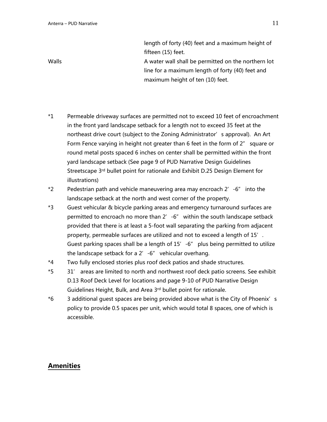length of forty (40) feet and a maximum height of fifteen (15) feet. Walls **A** water wall shall be permitted on the northern lot line for a maximum length of forty (40) feet and maximum height of ten (10) feet.

- \*1 Permeable driveway surfaces are permitted not to exceed 10 feet of encroachment in the front yard landscape setback for a length not to exceed 35 feet at the northeast drive court (subject to the Zoning Administrator's approval). An Art Form Fence varying in height not greater than 6 feet in the form of 2" square or round metal posts spaced 6 inches on center shall be permitted within the front yard landscape setback (See page 9 of PUD Narrative Design Guidelines Streetscape 3rd bullet point for rationale and Exhibit D.25 Design Element for illustrations)
- \*2 Pedestrian path and vehicle maneuvering area may encroach 2'-6" into the landscape setback at the north and west corner of the property.
- \*3 Guest vehicular & bicycle parking areas and emergency turnaround surfaces are permitted to encroach no more than 2' -6" within the south landscape setback provided that there is at least a 5-foot wall separating the parking from adjacent property, permeable surfaces are utilized and not to exceed a length of 15'. Guest parking spaces shall be a length of  $15' -6''$  plus being permitted to utilize the landscape setback for a 2'-6" vehicular overhang.
- \*4 Two fully enclosed stories plus roof deck patios and shade structures.
- \*5 31' areas are limited to north and northwest roof deck patio screens. See exhibit D.13 Roof Deck Level for locations and page 9-10 of PUD Narrative Design Guidelines Height, Bulk, and Area 3rd bullet point for rationale.
- \*6 3 additional guest spaces are being provided above what is the City of Phoenix's policy to provide 0.5 spaces per unit, which would total 8 spaces, one of which is accessible.

### **Amenities**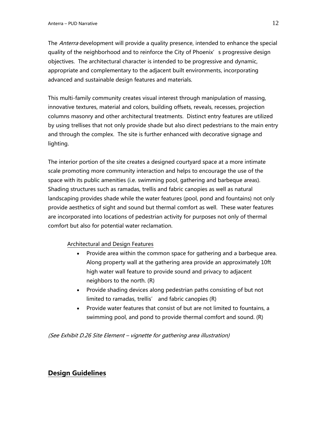The *Anterra* development will provide a quality presence, intended to enhance the special quality of the neighborhood and to reinforce the City of Phoenix' s progressive design objectives. The architectural character is intended to be progressive and dynamic, appropriate and complementary to the adjacent built environments, incorporating advanced and sustainable design features and materials.

This multi-family community creates visual interest through manipulation of massing, innovative textures, material and colors, building offsets, reveals, recesses, projection columns masonry and other architectural treatments. Distinct entry features are utilized by using trellises that not only provide shade but also direct pedestrians to the main entry and through the complex. The site is further enhanced with decorative signage and lighting.

The interior portion of the site creates a designed courtyard space at a more intimate scale promoting more community interaction and helps to encourage the use of the space with its public amenities (i.e. swimming pool, gathering and barbeque areas). Shading structures such as ramadas, trellis and fabric canopies as well as natural landscaping provides shade while the water features (pool, pond and fountains) not only provide aesthetics of sight and sound but thermal comfort as well. These water features are incorporated into locations of pedestrian activity for purposes not only of thermal comfort but also for potential water reclamation.

### Architectural and Design Features

- Provide area within the common space for gathering and a barbeque area. Along property wall at the gathering area provide an approximately 10ft high water wall feature to provide sound and privacy to adjacent neighbors to the north. (R)
- Provide shading devices along pedestrian paths consisting of but not limited to ramadas, trellis' and fabric canopies (R)
- Provide water features that consist of but are not limited to fountains, a swimming pool, and pond to provide thermal comfort and sound. (R)

(See Exhibit D.26 Site Element – vignette for gathering area illustration)

# **Design Guidelines**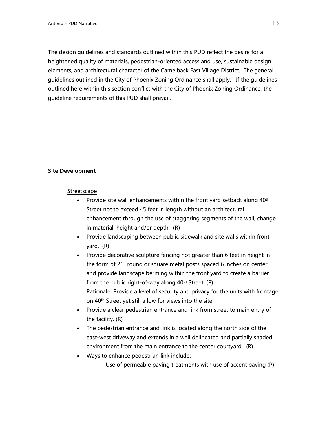The design guidelines and standards outlined within this PUD reflect the desire for a heightened quality of materials, pedestrian-oriented access and use, sustainable design elements, and architectural character of the Camelback East Village District. The general guidelines outlined in the City of Phoenix Zoning Ordinance shall apply. If the guidelines outlined here within this section conflict with the City of Phoenix Zoning Ordinance, the guideline requirements of this PUD shall prevail.

#### **Site Development**

#### Streetscape

- Provide site wall enhancements within the front yard setback along  $40<sup>th</sup>$ Street not to exceed 45 feet in length without an architectural enhancement through the use of staggering segments of the wall, change in material, height and/or depth. (R)
- Provide landscaping between public sidewalk and site walls within front yard. (R)
- Provide decorative sculpture fencing not greater than 6 feet in height in the form of 2" round or square metal posts spaced 6 inches on center and provide landscape berming within the front yard to create a barrier from the public right-of-way along  $40<sup>th</sup>$  Street. (P) Rationale: Provide a level of security and privacy for the units with frontage on 40th Street yet still allow for views into the site.
- Provide a clear pedestrian entrance and link from street to main entry of the facility. (R)
- The pedestrian entrance and link is located along the north side of the east-west driveway and extends in a well delineated and partially shaded environment from the main entrance to the center courtyard. (R)
- Ways to enhance pedestrian link include:

Use of permeable paving treatments with use of accent paving (P)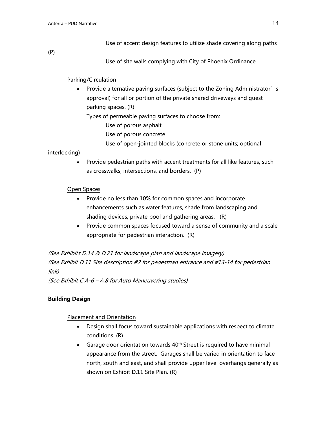Use of accent design features to utilize shade covering along paths

(P)

Use of site walls complying with City of Phoenix Ordinance

### Parking/Circulation

• Provide alternative paving surfaces (subject to the Zoning Administrator's approval) for all or portion of the private shared driveways and guest parking spaces. (R)

Types of permeable paving surfaces to choose from:

- Use of porous asphalt
- Use of porous concrete
- Use of open-jointed blocks (concrete or stone units; optional

### interlocking)

• Provide pedestrian paths with accent treatments for all like features, such as crosswalks, intersections, and borders. (P)

### Open Spaces

- Provide no less than 10% for common spaces and incorporate enhancements such as water features, shade from landscaping and shading devices, private pool and gathering areas. (R)
- Provide common spaces focused toward a sense of community and a scale appropriate for pedestrian interaction. (R)

(See Exhibits D.14 & D.21 for landscape plan and landscape imagery) (See Exhibit D.11 Site description #2 for pedestrian entrance and #13-14 for pedestrian link)

(See Exhibit C A-6 – A.8 for Auto Maneuvering studies)

# **Building Design**

### Placement and Orientation

- Design shall focus toward sustainable applications with respect to climate conditions. (R)
- Garage door orientation towards  $40<sup>th</sup>$  Street is required to have minimal appearance from the street. Garages shall be varied in orientation to face north, south and east, and shall provide upper level overhangs generally as shown on Exhibit D.11 Site Plan. (R)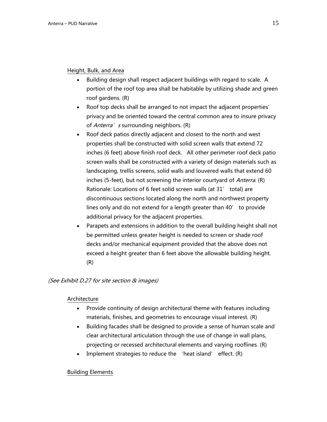### Height, Bulk, and Area

- Building design shall respect adjacent buildings with regard to scale. A portion of the roof top area shall be habitable by utilizing shade and green roof gardens. (R)
- Roof top decks shall be arranged to not impact the adjacent properties' privacy and be oriented toward the central common area to insure privacy of *Anterra's* surrounding neighbors. (R)
- Roof deck patios directly adjacent and closest to the north and west properties shall be constructed with solid screen walls that extend 72 inches (6 feet) above finish roof deck. All other perimeter roof deck patio screen walls shall be constructed with a variety of design materials such as landscaping, trellis screens, solid walls and louvered walls that extend 60 inches (5-feet), but not screening the interior courtyard of *Anterra*. (R) Rationale: Locations of 6 feet solid screen walls (at 31' total) are discontinuous sections located along the north and northwest property lines only and do not extend for a length greater than 40' to provide additional privacy for the adjacent properties.
- Parapets and extensions in addition to the overall building height shall not be permitted unless greater height is needed to screen or shade roof decks and/or mechanical equipment provided that the above does not exceed a height greater than 6 feet above the allowable building height. (R)

### (See Exhibit D.27 for site section & images)

### Architecture

- Provide continuity of design architectural theme with features including materials, finishes, and geometries to encourage visual interest. (R)
- Building facades shall be designed to provide a sense of human scale and clear architectural articulation through the use of change in wall plans, projecting or recessed architectural elements and varying rooflines. (R)
- Implement strategies to reduce the 'heat island' effect. (R)

### Building Elements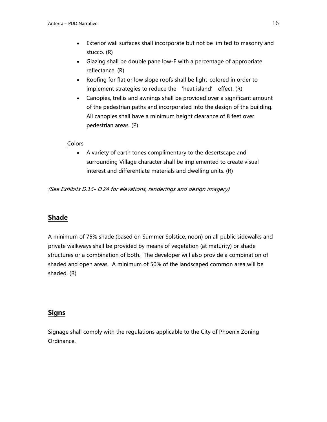- Exterior wall surfaces shall incorporate but not be limited to masonry and stucco. (R)
- Glazing shall be double pane low-E with a percentage of appropriate reflectance. (R)
- Roofing for flat or low slope roofs shall be light-colored in order to implement strategies to reduce the 'heat island' effect. (R)
- Canopies, trellis and awnings shall be provided over a significant amount of the pedestrian paths and incorporated into the design of the building. All canopies shall have a minimum height clearance of 8 feet over pedestrian areas. (P)

### Colors

• A variety of earth tones complimentary to the desertscape and surrounding Village character shall be implemented to create visual interest and differentiate materials and dwelling units. (R)

(See Exhibits D.15- D.24 for elevations, renderings and design imagery)

# **Shade**

A minimum of 75% shade (based on Summer Solstice, noon) on all public sidewalks and private walkways shall be provided by means of vegetation (at maturity) or shade structures or a combination of both. The developer will also provide a combination of shaded and open areas. A minimum of 50% of the landscaped common area will be shaded. (R)

# **Signs**

Signage shall comply with the regulations applicable to the City of Phoenix Zoning Ordinance.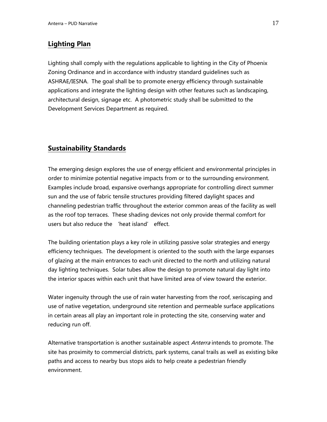# **Lighting Plan**

Lighting shall comply with the regulations applicable to lighting in the City of Phoenix Zoning Ordinance and in accordance with industry standard guidelines such as ASHRAE/IESNA. The goal shall be to promote energy efficiency through sustainable applications and integrate the lighting design with other features such as landscaping, architectural design, signage etc. A photometric study shall be submitted to the Development Services Department as required.

# **Sustainability Standards**

The emerging design explores the use of energy efficient and environmental principles in order to minimize potential negative impacts from or to the surrounding environment. Examples include broad, expansive overhangs appropriate for controlling direct summer sun and the use of fabric tensile structures providing filtered daylight spaces and channeling pedestrian traffic throughout the exterior common areas of the facility as well as the roof top terraces. These shading devices not only provide thermal comfort for users but also reduce the 'heat island' effect.

The building orientation plays a key role in utilizing passive solar strategies and energy efficiency techniques. The development is oriented to the south with the large expanses of glazing at the main entrances to each unit directed to the north and utilizing natural day lighting techniques. Solar tubes allow the design to promote natural day light into the interior spaces within each unit that have limited area of view toward the exterior.

Water ingenuity through the use of rain water harvesting from the roof, xeriscaping and use of native vegetation, underground site retention and permeable surface applications in certain areas all play an important role in protecting the site, conserving water and reducing run off.

Alternative transportation is another sustainable aspect Anterra intends to promote. The site has proximity to commercial districts, park systems, canal trails as well as existing bike paths and access to nearby bus stops aids to help create a pedestrian friendly environment.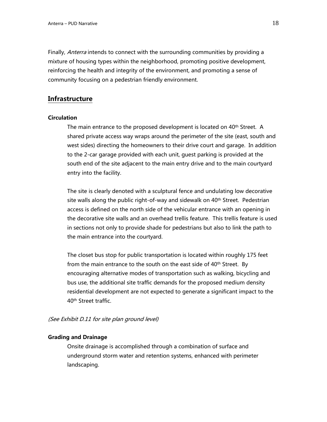Finally, Anterra intends to connect with the surrounding communities by providing a mixture of housing types within the neighborhood, promoting positive development, reinforcing the health and integrity of the environment, and promoting a sense of community focusing on a pedestrian friendly environment.

### **Infrastructure**

#### **Circulation**

The main entrance to the proposed development is located on 40<sup>th</sup> Street. A shared private access way wraps around the perimeter of the site (east, south and west sides) directing the homeowners to their drive court and garage. In addition to the 2-car garage provided with each unit, guest parking is provided at the south end of the site adjacent to the main entry drive and to the main courtyard entry into the facility.

The site is clearly denoted with a sculptural fence and undulating low decorative site walls along the public right-of-way and sidewalk on 40<sup>th</sup> Street. Pedestrian access is defined on the north side of the vehicular entrance with an opening in the decorative site walls and an overhead trellis feature. This trellis feature is used in sections not only to provide shade for pedestrians but also to link the path to the main entrance into the courtyard.

The closet bus stop for public transportation is located within roughly 175 feet from the main entrance to the south on the east side of 40<sup>th</sup> Street. By encouraging alternative modes of transportation such as walking, bicycling and bus use, the additional site traffic demands for the proposed medium density residential development are not expected to generate a significant impact to the 40th Street traffic.

(See Exhibit D.11 for site plan ground level)

#### **Grading and Drainage**

Onsite drainage is accomplished through a combination of surface and underground storm water and retention systems, enhanced with perimeter landscaping.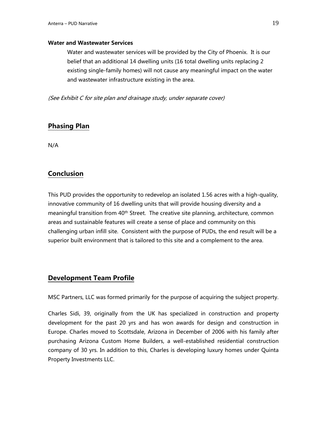#### **Water and Wastewater Services**

Water and wastewater services will be provided by the City of Phoenix. It is our belief that an additional 14 dwelling units (16 total dwelling units replacing 2 existing single-family homes) will not cause any meaningful impact on the water and wastewater infrastructure existing in the area.

(See Exhibit C for site plan and drainage study, under separate cover)

# **Phasing Plan**

N/A

# **Conclusion**

This PUD provides the opportunity to redevelop an isolated 1.56 acres with a high-quality, innovative community of 16 dwelling units that will provide housing diversity and a meaningful transition from 40<sup>th</sup> Street. The creative site planning, architecture, common areas and sustainable features will create a sense of place and community on this challenging urban infill site. Consistent with the purpose of PUDs, the end result will be a superior built environment that is tailored to this site and a complement to the area.

# **Development Team Profile**

MSC Partners, LLC was formed primarily for the purpose of acquiring the subject property.

Charles Sidi, 39, originally from the UK has specialized in construction and property development for the past 20 yrs and has won awards for design and construction in Europe. Charles moved to Scottsdale, Arizona in December of 2006 with his family after purchasing Arizona Custom Home Builders, a well-established residential construction company of 30 yrs. In addition to this, Charles is developing luxury homes under Quinta Property Investments LLC.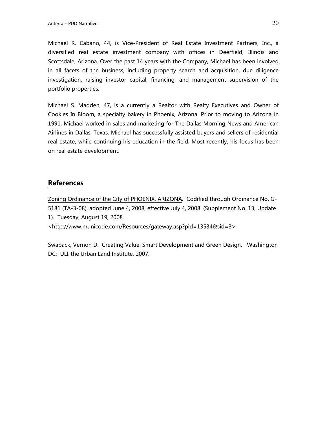Michael R. Cabano, 44, is Vice-President of Real Estate Investment Partners, Inc., a diversified real estate investment company with offices in Deerfield, Illinois and Scottsdale, Arizona. Over the past 14 years with the Company, Michael has been involved in all facets of the business, including property search and acquisition, due diligence investigation, raising investor capital, financing, and management supervision of the portfolio properties.

Michael S. Madden, 47, is a currently a Realtor with Realty Executives and Owner of Cookies In Bloom, a specialty bakery in Phoenix, Arizona. Prior to moving to Arizona in 1991, Michael worked in sales and marketing for The Dallas Morning News and American Airlines in Dallas, Texas. Michael has successfully assisted buyers and sellers of residential real estate, while continuing his education in the field. Most recently, his focus has been on real estate development.

# **References**

Zoning Ordinance of the City of PHOENIX, ARIZONA. Codified through Ordinance No. G-5181 (TA-3-08), adopted June 4, 2008, effective July 4, 2008. (Supplement No. 13, Update 1). Tuesday, August 19, 2008.

<http://www.municode.com/Resources/gateway.asp?pid=13534&sid=3>

Swaback, Vernon D. Creating Value: Smart Development and Green Design. Washington DC: ULI-the Urban Land Institute, 2007.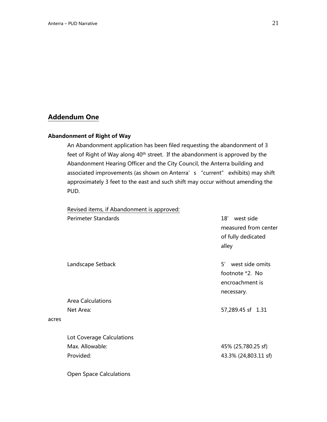# **Addendum One**

acres

### **Abandonment of Right of Way**

An Abandonment application has been filed requesting the abandonment of 3 feet of Right of Way along 40<sup>th</sup> street. If the abandonment is approved by the Abandonment Hearing Officer and the City Council, the Anterra building and associated improvements (as shown on Anterra's "current" exhibits) may shift approximately 3 feet to the east and such shift may occur without amending the PUD.

Revised items, if Abandonment is approved:

| <b>Perimeter Standards</b>     | west side<br>18'<br>measured from center<br>of fully dedicated<br>alley   |
|--------------------------------|---------------------------------------------------------------------------|
| Landscape Setback              | west side omits<br>5'<br>footnote *2. No<br>encroachment is<br>necessary. |
| <b>Area Calculations</b>       |                                                                           |
| Net Area:                      | 57,289.45 sf 1.31                                                         |
| Lot Coverage Calculations      |                                                                           |
| Max. Allowable:                | 45% (25,780.25 sf)                                                        |
| Provided:                      | 43.3% (24,803.11 sf)                                                      |
| <b>Open Space Calculations</b> |                                                                           |